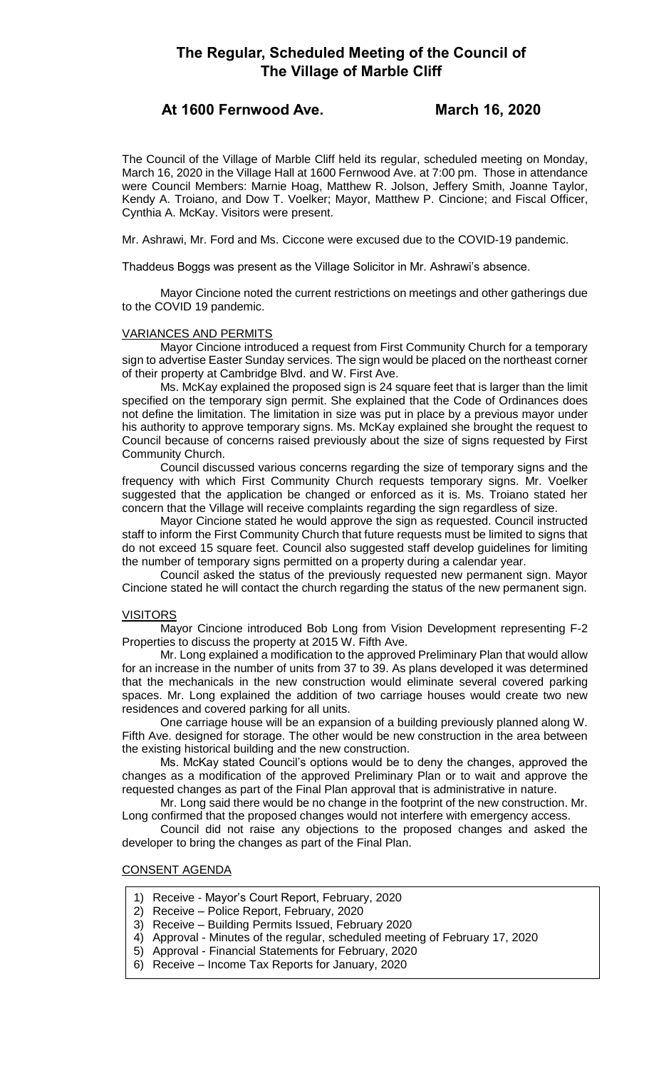# **The Regular, Scheduled Meeting of the Council of The Village of Marble Cliff**

## **At 1600 Fernwood Ave. March 16, 2020**

The Council of the Village of Marble Cliff held its regular, scheduled meeting on Monday, March 16, 2020 in the Village Hall at 1600 Fernwood Ave. at 7:00 pm. Those in attendance were Council Members: Marnie Hoag, Matthew R. Jolson, Jeffery Smith, Joanne Taylor, Kendy A. Troiano, and Dow T. Voelker; Mayor, Matthew P. Cincione; and Fiscal Officer, Cynthia A. McKay. Visitors were present.

Mr. Ashrawi, Mr. Ford and Ms. Ciccone were excused due to the COVID-19 pandemic.

Thaddeus Boggs was present as the Village Solicitor in Mr. Ashrawi's absence.

Mayor Cincione noted the current restrictions on meetings and other gatherings due to the COVID 19 pandemic.

### VARIANCES AND PERMITS

Mayor Cincione introduced a request from First Community Church for a temporary sign to advertise Easter Sunday services. The sign would be placed on the northeast corner of their property at Cambridge Blvd. and W. First Ave.

Ms. McKay explained the proposed sign is 24 square feet that is larger than the limit specified on the temporary sign permit. She explained that the Code of Ordinances does not define the limitation. The limitation in size was put in place by a previous mayor under his authority to approve temporary signs. Ms. McKay explained she brought the request to Council because of concerns raised previously about the size of signs requested by First Community Church.

Council discussed various concerns regarding the size of temporary signs and the frequency with which First Community Church requests temporary signs. Mr. Voelker suggested that the application be changed or enforced as it is. Ms. Troiano stated her concern that the Village will receive complaints regarding the sign regardless of size.

Mayor Cincione stated he would approve the sign as requested. Council instructed staff to inform the First Community Church that future requests must be limited to signs that do not exceed 15 square feet. Council also suggested staff develop guidelines for limiting the number of temporary signs permitted on a property during a calendar year.

Council asked the status of the previously requested new permanent sign. Mayor Cincione stated he will contact the church regarding the status of the new permanent sign.

#### VISITORS

Mayor Cincione introduced Bob Long from Vision Development representing F-2 Properties to discuss the property at 2015 W. Fifth Ave.

Mr. Long explained a modification to the approved Preliminary Plan that would allow for an increase in the number of units from 37 to 39. As plans developed it was determined that the mechanicals in the new construction would eliminate several covered parking spaces. Mr. Long explained the addition of two carriage houses would create two new residences and covered parking for all units.

One carriage house will be an expansion of a building previously planned along W. Fifth Ave. designed for storage. The other would be new construction in the area between the existing historical building and the new construction.

Ms. McKay stated Council's options would be to deny the changes, approved the changes as a modification of the approved Preliminary Plan or to wait and approve the requested changes as part of the Final Plan approval that is administrative in nature.

Mr. Long said there would be no change in the footprint of the new construction. Mr. Long confirmed that the proposed changes would not interfere with emergency access.

Council did not raise any objections to the proposed changes and asked the developer to bring the changes as part of the Final Plan.

## CONSENT AGENDA

- 1) Receive Mayor's Court Report, February, 2020
- 2) Receive Police Report, February, 2020
- 3) Receive Building Permits Issued, February 2020
- 4) Approval Minutes of the regular, scheduled meeting of February 17, 2020
- 5) Approval Financial Statements for February, 2020
- 6) Receive Income Tax Reports for January, 2020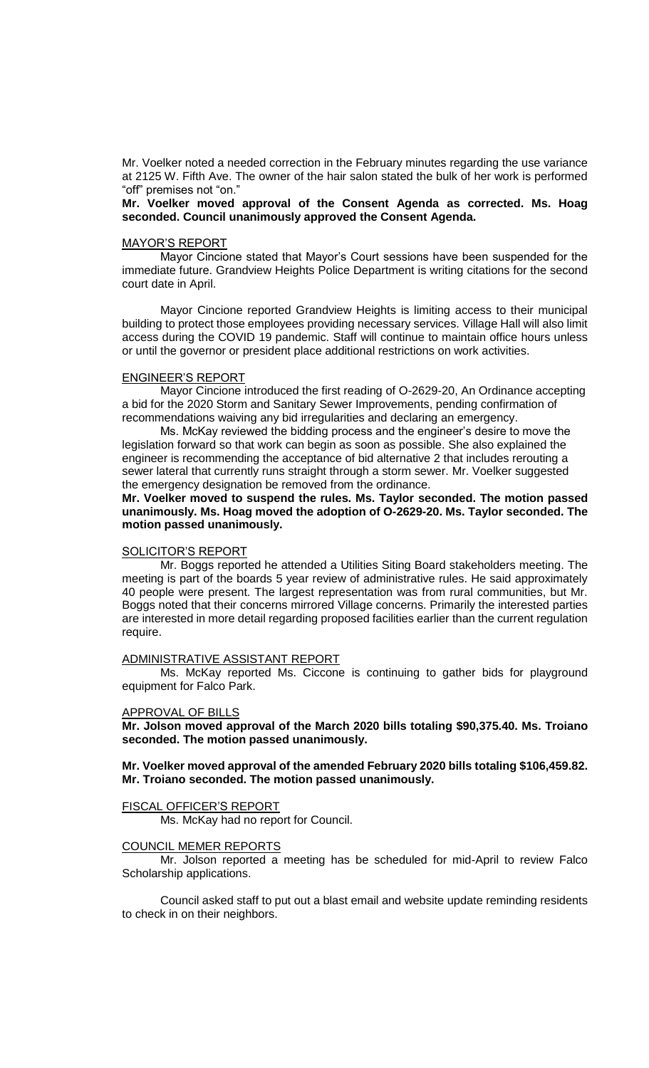Mr. Voelker noted a needed correction in the February minutes regarding the use variance at 2125 W. Fifth Ave. The owner of the hair salon stated the bulk of her work is performed "off" premises not "on."

**Mr. Voelker moved approval of the Consent Agenda as corrected. Ms. Hoag seconded. Council unanimously approved the Consent Agenda.** 

#### MAYOR'S REPORT

Mayor Cincione stated that Mayor's Court sessions have been suspended for the immediate future. Grandview Heights Police Department is writing citations for the second court date in April.

Mayor Cincione reported Grandview Heights is limiting access to their municipal building to protect those employees providing necessary services. Village Hall will also limit access during the COVID 19 pandemic. Staff will continue to maintain office hours unless or until the governor or president place additional restrictions on work activities.

#### ENGINEER'S REPORT

Mayor Cincione introduced the first reading of O-2629-20, An Ordinance accepting a bid for the 2020 Storm and Sanitary Sewer Improvements, pending confirmation of recommendations waiving any bid irregularities and declaring an emergency.

Ms. McKay reviewed the bidding process and the engineer's desire to move the legislation forward so that work can begin as soon as possible. She also explained the engineer is recommending the acceptance of bid alternative 2 that includes rerouting a sewer lateral that currently runs straight through a storm sewer. Mr. Voelker suggested the emergency designation be removed from the ordinance.

**Mr. Voelker moved to suspend the rules. Ms. Taylor seconded. The motion passed unanimously. Ms. Hoag moved the adoption of O-2629-20. Ms. Taylor seconded. The motion passed unanimously.** 

## SOLICITOR'S REPORT

Mr. Boggs reported he attended a Utilities Siting Board stakeholders meeting. The meeting is part of the boards 5 year review of administrative rules. He said approximately 40 people were present. The largest representation was from rural communities, but Mr. Boggs noted that their concerns mirrored Village concerns. Primarily the interested parties are interested in more detail regarding proposed facilities earlier than the current regulation require.

#### ADMINISTRATIVE ASSISTANT REPORT

Ms. McKay reported Ms. Ciccone is continuing to gather bids for playground equipment for Falco Park.

#### APPROVAL OF BILLS

**Mr. Jolson moved approval of the March 2020 bills totaling \$90,375.40. Ms. Troiano seconded. The motion passed unanimously.**

## **Mr. Voelker moved approval of the amended February 2020 bills totaling \$106,459.82. Mr. Troiano seconded. The motion passed unanimously.**

#### FISCAL OFFICER'S REPORT

Ms. McKay had no report for Council.

#### COUNCIL MEMER REPORTS

Mr. Jolson reported a meeting has be scheduled for mid-April to review Falco Scholarship applications.

Council asked staff to put out a blast email and website update reminding residents to check in on their neighbors.